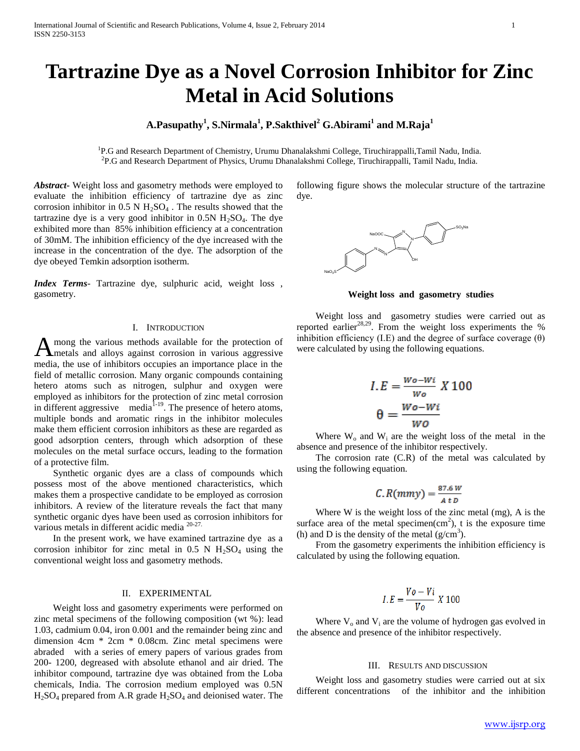# **Tartrazine Dye as a Novel Corrosion Inhibitor for Zinc Metal in Acid Solutions**

# **A.Pasupathy<sup>1</sup> , S.Nirmala<sup>1</sup> , P.Sakthivel<sup>2</sup> G.Abirami<sup>1</sup> and M.Raja<sup>1</sup>**

<sup>1</sup>P.G and Research Department of Chemistry, Urumu Dhanalakshmi College, Tiruchirappalli,Tamil Nadu, India. 2 P.G and Research Department of Physics, Urumu Dhanalakshmi College, Tiruchirappalli, Tamil Nadu, India.

*Abstract***-** Weight loss and gasometry methods were employed to evaluate the inhibition efficiency of tartrazine dye as zinc corrosion inhibitor in  $0.5$  N  $H<sub>2</sub>SO<sub>4</sub>$ . The results showed that the tartrazine dye is a very good inhibitor in  $0.5N H<sub>2</sub>SO<sub>4</sub>$ . The dye exhibited more than 85% inhibition efficiency at a concentration of 30mM. The inhibition efficiency of the dye increased with the increase in the concentration of the dye. The adsorption of the dye obeyed Temkin adsorption isotherm.

*Index Terms*- Tartrazine dye, sulphuric acid, weight loss , gasometry.

### I. INTRODUCTION

mong the various methods available for the protection of A mong the various methods available for the protection of metals and alloys against corrosion in various aggressive media, the use of inhibitors occupies an importance place in the field of metallic corrosion. Many organic compounds containing hetero atoms such as nitrogen, sulphur and oxygen were employed as inhibitors for the protection of zinc metal corrosion in different aggressive media $1<sup>1-19</sup>$ . The presence of hetero atoms, multiple bonds and aromatic rings in the inhibitor molecules make them efficient corrosion inhibitors as these are regarded as good adsorption centers, through which adsorption of these molecules on the metal surface occurs, leading to the formation of a protective film.

 Synthetic organic dyes are a class of compounds which possess most of the above mentioned characteristics, which makes them a prospective candidate to be employed as corrosion inhibitors. A review of the literature reveals the fact that many synthetic organic dyes have been used as corrosion inhibitors for various metals in different acidic media  $20-27$ .

 In the present work, we have examined tartrazine dye as a corrosion inhibitor for zinc metal in  $0.5$  N  $H_2SO_4$  using the conventional weight loss and gasometry methods.

# II. EXPERIMENTAL

 Weight loss and gasometry experiments were performed on zinc metal specimens of the following composition (wt %): lead 1.03, cadmium 0.04, iron 0.001 and the remainder being zinc and dimension 4cm \* 2cm \* 0.08cm. Zinc metal specimens were abraded with a series of emery papers of various grades from 200- 1200, degreased with absolute ethanol and air dried. The inhibitor compound, tartrazine dye was obtained from the Loba chemicals, India. The corrosion medium employed was 0.5N  $H<sub>2</sub>SO<sub>4</sub>$  prepared from A.R grade  $H<sub>2</sub>SO<sub>4</sub>$  and deionised water. The following figure shows the molecular structure of the tartrazine dye.



**Weight loss and gasometry studies**

 Weight loss and gasometry studies were carried out as reported earlier<sup>28,29</sup>. From the weight loss experiments the % inhibition efficiency (I.E) and the degree of surface coverage  $(\theta)$ were calculated by using the following equations.

$$
I.E = \frac{W_0 - W_i}{W_0} X 100
$$

$$
\theta = \frac{W_0 - W_i}{W_0}
$$

Where  $W_0$  and  $W_i$  are the weight loss of the metal in the absence and presence of the inhibitor respectively.

 The corrosion rate (C.R) of the metal was calculated by using the following equation.

$$
C.R(mmy) = \frac{87.6 W}{A t D}
$$

 Where W is the weight loss of the zinc metal (mg), A is the surface area of the metal specimen $(cm<sup>2</sup>)$ , t is the exposure time (h) and D is the density of the metal  $(g/cm<sup>3</sup>)$ .

 From the gasometry experiments the inhibition efficiency is calculated by using the following equation.

$$
I.E = \frac{V_o - Vi}{V_o} \times 100
$$

Where  $V_0$  and  $V_i$  are the volume of hydrogen gas evolved in the absence and presence of the inhibitor respectively.

#### III. RESULTS AND DISCUSSION

 Weight loss and gasometry studies were carried out at six different concentrations of the inhibitor and the inhibition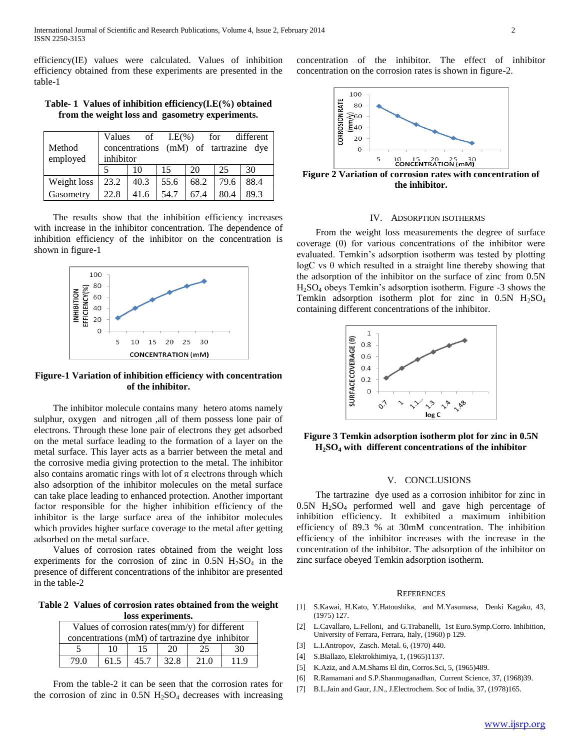efficiency(IE) values were calculated. Values of inhibition efficiency obtained from these experiments are presented in the table-1

**Table- 1 Values of inhibition efficiency(I.E(%) obtained from the weight loss and gasometry experiments.**

|             | Values                                | of   | $LE(\% )$ |      | for  | different |  |  |  |
|-------------|---------------------------------------|------|-----------|------|------|-----------|--|--|--|
| Method      | concentrations (mM) of tartrazine dye |      |           |      |      |           |  |  |  |
| employed    | inhibitor                             |      |           |      |      |           |  |  |  |
|             |                                       | 10   | 15        | 20   | 25   | 30        |  |  |  |
| Weight loss | 23.2                                  | 40.3 | 55.6      | 68.2 | 79.6 | 88.4      |  |  |  |
| Gasometry   | 22.8                                  | 41.6 | 54.7      | 67.4 | 80.4 | 89.3      |  |  |  |

 The results show that the inhibition efficiency increases with increase in the inhibitor concentration. The dependence of inhibition efficiency of the inhibitor on the concentration is shown in figure-1



**Figure-1 Variation of inhibition efficiency with concentration of the inhibitor.**

 The inhibitor molecule contains many hetero atoms namely sulphur, oxygen and nitrogen ,all of them possess lone pair of electrons. Through these lone pair of electrons they get adsorbed on the metal surface leading to the formation of a layer on the metal surface. This layer acts as a barrier between the metal and the corrosive media giving protection to the metal. The inhibitor also contains aromatic rings with lot of  $\pi$  electrons through which also adsorption of the inhibitor molecules on the metal surface can take place leading to enhanced protection. Another important factor responsible for the higher inhibition efficiency of the inhibitor is the large surface area of the inhibitor molecules which provides higher surface coverage to the metal after getting adsorbed on the metal surface.

 Values of corrosion rates obtained from the weight loss experiments for the corrosion of zinc in  $0.5N$  H<sub>2</sub>SO<sub>4</sub> in the presence of different concentrations of the inhibitor are presented in the table-2

**Table 2 Values of corrosion rates obtained from the weight loss experiments.**

| Values of corrosion rates(mm/y) for different   |      |     |       |      |      |  |  |  |  |
|-------------------------------------------------|------|-----|-------|------|------|--|--|--|--|
| concentrations (mM) of tartrazine dye inhibitor |      |     |       |      |      |  |  |  |  |
|                                                 | 10   | 15  | 20    |      | 30   |  |  |  |  |
| 79 O                                            | 61.5 | 457 | 32. 8 | 21 Q | 11 Q |  |  |  |  |

 From the table-2 it can be seen that the corrosion rates for the corrosion of zinc in  $0.5N$  H<sub>2</sub>SO<sub>4</sub> decreases with increasing concentration of the inhibitor. The effect of inhibitor concentration on the corrosion rates is shown in figure-2.



**Figure 2 Variation of corrosion rates with concentration of the inhibitor.**

#### IV. ADSORPTION ISOTHERMS

 From the weight loss measurements the degree of surface coverage (θ) for various concentrations of the inhibitor were evaluated. Temkin's adsorption isotherm was tested by plotting  $logC$  vs  $\theta$  which resulted in a straight line thereby showing that the adsorption of the inhibitor on the surface of zinc from 0.5N H2SO<sup>4</sup> obeys Temkin's adsorption isotherm. Figure -3 shows the Temkin adsorption isotherm plot for zinc in  $0.5N$  H<sub>2</sub>SO<sub>4</sub> containing different concentrations of the inhibitor.



**Figure 3 Temkin adsorption isotherm plot for zinc in 0.5N H2SO<sup>4</sup> with different concentrations of the inhibitor**

## V. CONCLUSIONS

 The tartrazine dye used as a corrosion inhibitor for zinc in 0.5N H2SO<sup>4</sup> performed well and gave high percentage of inhibition efficiency. It exhibited a maximum inhibition efficiency of 89.3 % at 30mM concentration. The inhibition efficiency of the inhibitor increases with the increase in the concentration of the inhibitor. The adsorption of the inhibitor on zinc surface obeyed Temkin adsorption isotherm.

#### **REFERENCES**

- [1] S.Kawai, H.Kato, Y.Hatoushika, and M.Yasumasa, Denki Kagaku, 43, (1975) 127.
- [2] L.Cavallaro, L.Felloni, and G.Trabanelli, 1st Euro.Symp.Corro. Inhibition, University of Ferrara, Ferrara, Italy, (1960) p 129.
- [3] L.I.Antropov, Zasch. Metal. 6, (1970) 440.
- [4] S.Biallazo, Elektrokhimiya, 1, (1965)1137.
- [5] K.Aziz, and A.M.Shams El din, Corros.Sci, 5, (1965)489.
- [6] R.Ramamani and S.P.Shanmuganadhan, Current Science, 37, (1968)39.
- [7] B.L.Jain and Gaur, J.N., J.Electrochem. Soc of India, 37, (1978)165.